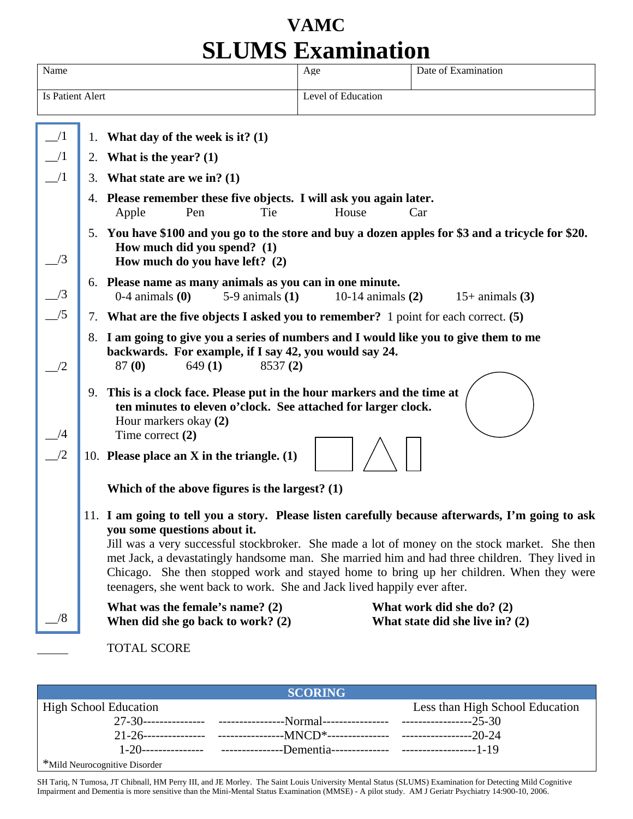## **VAMC SLUMS Examination**

|                  |    |                                                                                                                                                                                                                                                                                                                                                                                                                                                                                                           | JE UITEV ERKEIHEIGIV. |                                                              |  |
|------------------|----|-----------------------------------------------------------------------------------------------------------------------------------------------------------------------------------------------------------------------------------------------------------------------------------------------------------------------------------------------------------------------------------------------------------------------------------------------------------------------------------------------------------|-----------------------|--------------------------------------------------------------|--|
| Name             |    |                                                                                                                                                                                                                                                                                                                                                                                                                                                                                                           | Age                   | Date of Examination                                          |  |
| Is Patient Alert |    |                                                                                                                                                                                                                                                                                                                                                                                                                                                                                                           | Level of Education    |                                                              |  |
|                  |    |                                                                                                                                                                                                                                                                                                                                                                                                                                                                                                           |                       |                                                              |  |
| $\angle$ /1      |    | 1. What day of the week is it? $(1)$                                                                                                                                                                                                                                                                                                                                                                                                                                                                      |                       |                                                              |  |
|                  |    | 2. What is the year? $(1)$                                                                                                                                                                                                                                                                                                                                                                                                                                                                                |                       |                                                              |  |
|                  | 3. | What state are we in? $(1)$                                                                                                                                                                                                                                                                                                                                                                                                                                                                               |                       |                                                              |  |
|                  |    | 4. Please remember these five objects. I will ask you again later.                                                                                                                                                                                                                                                                                                                                                                                                                                        |                       |                                                              |  |
|                  |    | Apple<br>Pen<br>Tie                                                                                                                                                                                                                                                                                                                                                                                                                                                                                       | House                 | Car                                                          |  |
|                  |    | 5. You have \$100 and you go to the store and buy a dozen apples for \$3 and a tricycle for \$20.                                                                                                                                                                                                                                                                                                                                                                                                         |                       |                                                              |  |
| /3               |    | How much did you spend? (1)<br>How much do you have left? (2)                                                                                                                                                                                                                                                                                                                                                                                                                                             |                       |                                                              |  |
|                  |    | 6. Please name as many animals as you can in one minute.                                                                                                                                                                                                                                                                                                                                                                                                                                                  |                       |                                                              |  |
|                  |    | $0-4$ animals $(0)$<br>$5-9$ animals $(1)$                                                                                                                                                                                                                                                                                                                                                                                                                                                                | 10-14 animals $(2)$   | $15+$ animals $(3)$                                          |  |
|                  |    | 7. What are the five objects I asked you to remember? 1 point for each correct. (5)                                                                                                                                                                                                                                                                                                                                                                                                                       |                       |                                                              |  |
|                  |    | 8. I am going to give you a series of numbers and I would like you to give them to me<br>backwards. For example, if I say 42, you would say 24.<br>87 (0)<br>649(1)<br>8537(2)                                                                                                                                                                                                                                                                                                                            |                       |                                                              |  |
|                  |    | 9. This is a clock face. Please put in the hour markers and the time at<br>ten minutes to eleven o'clock. See attached for larger clock.<br>Hour markers okay (2)<br>Time correct $(2)$                                                                                                                                                                                                                                                                                                                   |                       |                                                              |  |
|                  |    | 10. Please place an $X$ in the triangle. (1)<br>Which of the above figures is the largest? $(1)$                                                                                                                                                                                                                                                                                                                                                                                                          |                       |                                                              |  |
|                  |    |                                                                                                                                                                                                                                                                                                                                                                                                                                                                                                           |                       |                                                              |  |
|                  |    | 11. I am going to tell you a story. Please listen carefully because afterwards, I'm going to ask<br>you some questions about it.<br>Jill was a very successful stockbroker. She made a lot of money on the stock market. She then<br>met Jack, a devastatingly handsome man. She married him and had three children. They lived in<br>Chicago. She then stopped work and stayed home to bring up her children. When they were<br>teenagers, she went back to work. She and Jack lived happily ever after. |                       |                                                              |  |
|                  |    | What was the female's name? $(2)$<br>When did she go back to work? $(2)$                                                                                                                                                                                                                                                                                                                                                                                                                                  |                       | What work did she do? (2)<br>What state did she live in? (2) |  |
|                  |    | <b>TOTAL SCORE</b>                                                                                                                                                                                                                                                                                                                                                                                                                                                                                        |                       |                                                              |  |

| <b>SCORING</b>                |  |                                 |  |  |  |
|-------------------------------|--|---------------------------------|--|--|--|
| <b>High School Education</b>  |  | Less than High School Education |  |  |  |
|                               |  |                                 |  |  |  |
|                               |  |                                 |  |  |  |
|                               |  |                                 |  |  |  |
| *Mild Neurocognitive Disorder |  |                                 |  |  |  |

SH Tariq, N Tumosa, JT Chibnall, HM Perry III, and JE Morley. The Saint Louis University Mental Status (SLUMS) Examination for Detecting Mild Cognitive Impairment and Dementia is more sensitive than the Mini-Mental Status Examination (MMSE) - A pilot study. AM J Geriatr Psychiatry 14:900-10, 2006.